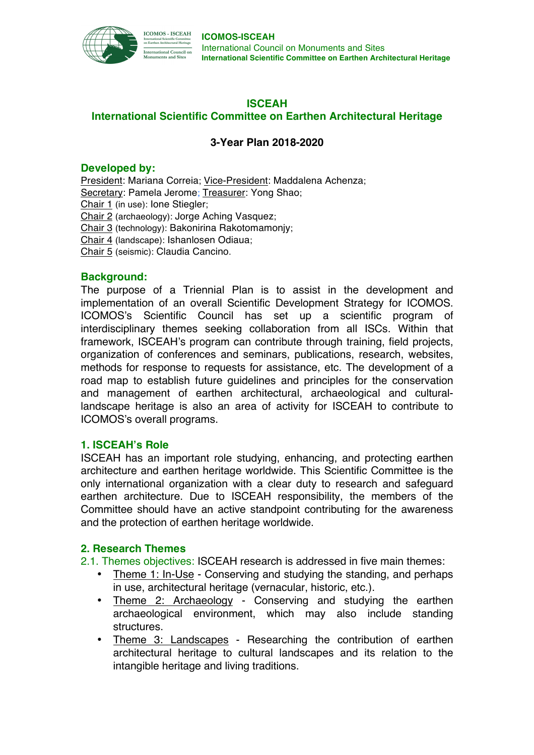

# **ISCEAH**

# **International Scientific Committee on Earthen Architectural Heritage**

# **3-Year Plan 2018-2020**

## **Developed by:**

President: Mariana Correia; Vice-President: Maddalena Achenza; Secretary: Pamela Jerome; Treasurer: Yong Shao; Chair 1 (in use): Ione Stiegler; Chair 2 (archaeology): Jorge Aching Vasquez; Chair 3 (technology): Bakonirina Rakotomamonjy; Chair 4 (landscape): Ishanlosen Odiaua; Chair 5 (seismic): Claudia Cancino.

# **Background:**

The purpose of a Triennial Plan is to assist in the development and implementation of an overall Scientific Development Strategy for ICOMOS. ICOMOS's Scientific Council has set up a scientific program of interdisciplinary themes seeking collaboration from all ISCs. Within that framework, ISCEAH's program can contribute through training, field projects, organization of conferences and seminars, publications, research, websites, methods for response to requests for assistance, etc. The development of a road map to establish future guidelines and principles for the conservation and management of earthen architectural, archaeological and culturallandscape heritage is also an area of activity for ISCEAH to contribute to ICOMOS's overall programs.

## **1. ISCEAH's Role**

ISCEAH has an important role studying, enhancing, and protecting earthen architecture and earthen heritage worldwide. This Scientific Committee is the only international organization with a clear duty to research and safeguard earthen architecture. Due to ISCEAH responsibility, the members of the Committee should have an active standpoint contributing for the awareness and the protection of earthen heritage worldwide.

# **2. Research Themes**

- 2.1. Themes objectives: ISCEAH research is addressed in five main themes:
	- Theme 1: In-Use Conserving and studying the standing, and perhaps in use, architectural heritage (vernacular, historic, etc.).
	- Theme 2: Archaeology Conserving and studying the earthen archaeological environment, which may also include standing structures.
	- Theme 3: Landscapes Researching the contribution of earthen architectural heritage to cultural landscapes and its relation to the intangible heritage and living traditions.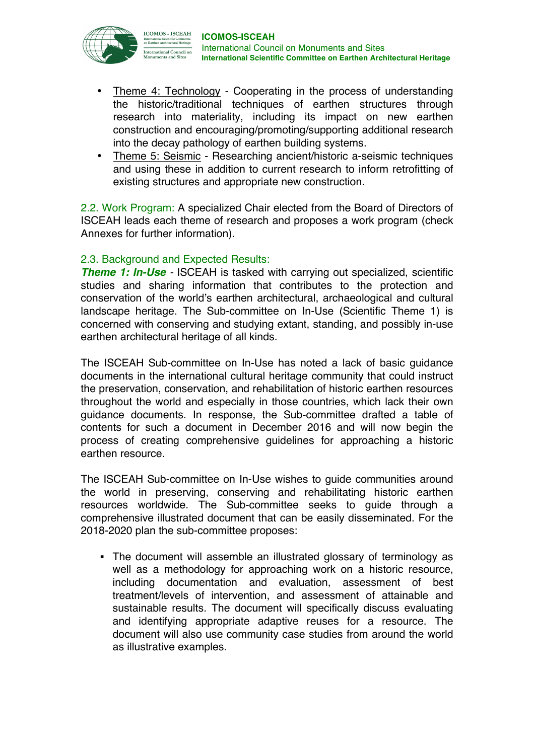

- Theme 4: Technology Cooperating in the process of understanding the historic/traditional techniques of earthen structures through research into materiality, including its impact on new earthen construction and encouraging/promoting/supporting additional research into the decay pathology of earthen building systems.
- Theme 5: Seismic Researching ancient/historic a-seismic techniques and using these in addition to current research to inform retrofitting of existing structures and appropriate new construction.

2.2. Work Program: A specialized Chair elected from the Board of Directors of ISCEAH leads each theme of research and proposes a work program (check Annexes for further information).

# 2.3. Background and Expected Results:

*Theme 1: In-Use* - ISCEAH is tasked with carrying out specialized, scientific studies and sharing information that contributes to the protection and conservation of the world's earthen architectural, archaeological and cultural landscape heritage. The Sub-committee on In-Use (Scientific Theme 1) is concerned with conserving and studying extant, standing, and possibly in-use earthen architectural heritage of all kinds.

The ISCEAH Sub-committee on In-Use has noted a lack of basic guidance documents in the international cultural heritage community that could instruct the preservation, conservation, and rehabilitation of historic earthen resources throughout the world and especially in those countries, which lack their own guidance documents. In response, the Sub-committee drafted a table of contents for such a document in December 2016 and will now begin the process of creating comprehensive guidelines for approaching a historic earthen resource.

The ISCEAH Sub-committee on In-Use wishes to guide communities around the world in preserving, conserving and rehabilitating historic earthen resources worldwide. The Sub-committee seeks to guide through a comprehensive illustrated document that can be easily disseminated. For the 2018-2020 plan the sub-committee proposes:

• The document will assemble an illustrated glossary of terminology as well as a methodology for approaching work on a historic resource, including documentation and evaluation, assessment of best treatment/levels of intervention, and assessment of attainable and sustainable results. The document will specifically discuss evaluating and identifying appropriate adaptive reuses for a resource. The document will also use community case studies from around the world as illustrative examples.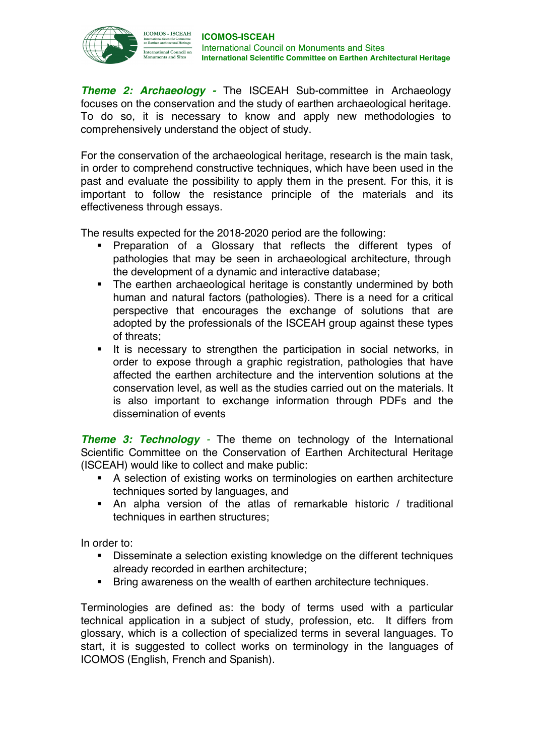

*Theme 2: Archaeology -* The ISCEAH Sub-committee in Archaeology focuses on the conservation and the study of earthen archaeological heritage. To do so, it is necessary to know and apply new methodologies to comprehensively understand the object of study.

For the conservation of the archaeological heritage, research is the main task, in order to comprehend constructive techniques, which have been used in the past and evaluate the possibility to apply them in the present. For this, it is important to follow the resistance principle of the materials and its effectiveness through essays.

The results expected for the 2018-2020 period are the following:

- § Preparation of a Glossary that reflects the different types of pathologies that may be seen in archaeological architecture, through the development of a dynamic and interactive database;
- The earthen archaeological heritage is constantly undermined by both human and natural factors (pathologies). There is a need for a critical perspective that encourages the exchange of solutions that are adopted by the professionals of the ISCEAH group against these types of threats;
- It is necessary to strengthen the participation in social networks, in order to expose through a graphic registration, pathologies that have affected the earthen architecture and the intervention solutions at the conservation level, as well as the studies carried out on the materials. It is also important to exchange information through PDFs and the dissemination of events

*Theme 3: Technology -* The theme on technology of the International Scientific Committee on the Conservation of Earthen Architectural Heritage (ISCEAH) would like to collect and make public:

- A selection of existing works on terminologies on earthen architecture techniques sorted by languages, and
- An alpha version of the atlas of remarkable historic / traditional techniques in earthen structures;

In order to:

- § Disseminate a selection existing knowledge on the different techniques already recorded in earthen architecture;
- Bring awareness on the wealth of earthen architecture techniques.

Terminologies are defined as: the body of terms used with a particular technical application in a subject of study, profession, etc. It differs from glossary, which is a collection of specialized terms in several languages. To start, it is suggested to collect works on terminology in the languages of ICOMOS (English, French and Spanish).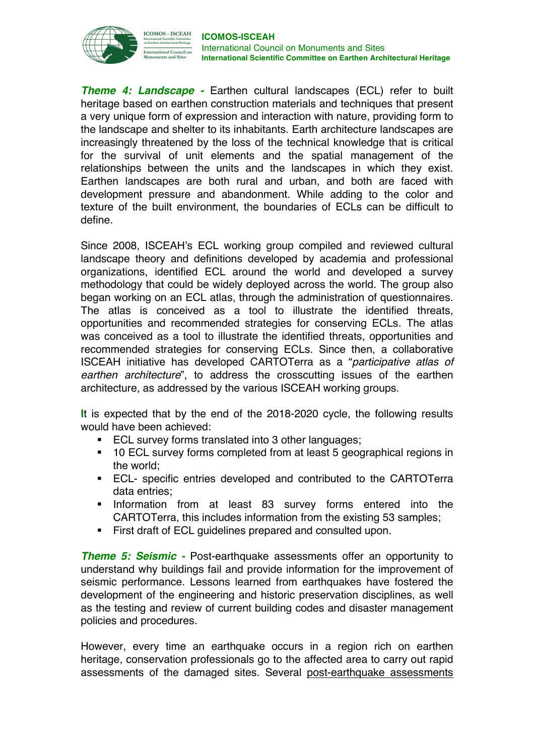

*Theme 4: Landscape -* Earthen cultural landscapes (ECL) refer to built heritage based on earthen construction materials and techniques that present a very unique form of expression and interaction with nature, providing form to the landscape and shelter to its inhabitants. Earth architecture landscapes are increasingly threatened by the loss of the technical knowledge that is critical for the survival of unit elements and the spatial management of the relationships between the units and the landscapes in which they exist. Earthen landscapes are both rural and urban, and both are faced with development pressure and abandonment. While adding to the color and texture of the built environment, the boundaries of ECLs can be difficult to define.

Since 2008, ISCEAH's ECL working group compiled and reviewed cultural landscape theory and definitions developed by academia and professional organizations, identified ECL around the world and developed a survey methodology that could be widely deployed across the world. The group also began working on an ECL atlas, through the administration of questionnaires. The atlas is conceived as a tool to illustrate the identified threats, opportunities and recommended strategies for conserving ECLs. The atlas was conceived as a tool to illustrate the identified threats, opportunities and recommended strategies for conserving ECLs. Since then, a collaborative ISCEAH initiative has developed CARTOTerra as a "*participative atlas of earthen architecture*", to address the crosscutting issues of the earthen architecture, as addressed by the various ISCEAH working groups.

**I**t is expected that by the end of the 2018-2020 cycle, the following results would have been achieved:

- ECL survey forms translated into 3 other languages;
- § 10 ECL survey forms completed from at least 5 geographical regions in the world;
- **ECL-** specific entries developed and contributed to the CARTOTerra data entries;
- Information from at least 83 survey forms entered into the CARTOTerra, this includes information from the existing 53 samples;
- **•** First draft of ECL quidelines prepared and consulted upon.

*Theme 5: Seismic -* Post-earthquake assessments offer an opportunity to understand why buildings fail and provide information for the improvement of seismic performance. Lessons learned from earthquakes have fostered the development of the engineering and historic preservation disciplines, as well as the testing and review of current building codes and disaster management policies and procedures.

However, every time an earthquake occurs in a region rich on earthen heritage, conservation professionals go to the affected area to carry out rapid assessments of the damaged sites. Several post-earthquake assessments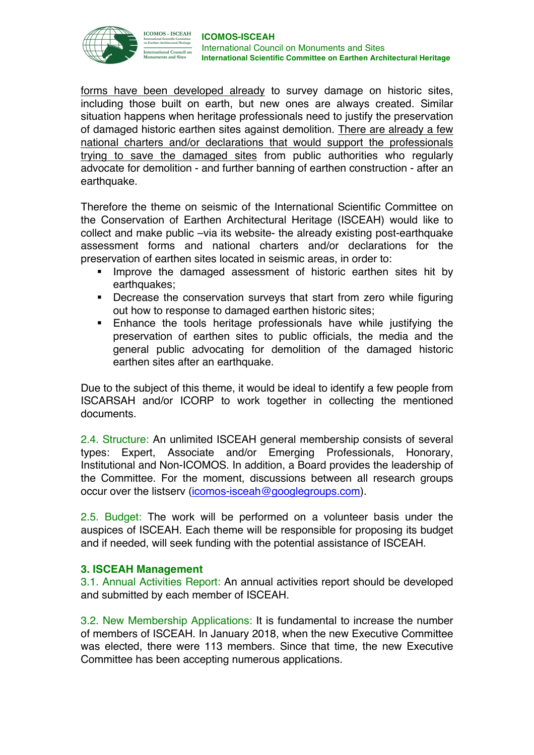

forms have been developed already to survey damage on historic sites, including those built on earth, but new ones are always created. Similar situation happens when heritage professionals need to justify the preservation of damaged historic earthen sites against demolition. There are already a few national charters and/or declarations that would support the professionals trying to save the damaged sites from public authorities who regularly advocate for demolition - and further banning of earthen construction - after an earthquake.

Therefore the theme on seismic of the International Scientific Committee on the Conservation of Earthen Architectural Heritage (ISCEAH) would like to collect and make public –via its website- the already existing post-earthquake assessment forms and national charters and/or declarations for the preservation of earthen sites located in seismic areas, in order to:

- Improve the damaged assessment of historic earthen sites hit by earthquakes;
- Decrease the conservation surveys that start from zero while figuring out how to response to damaged earthen historic sites;
- **Enhance the tools heritage professionals have while justifying the** preservation of earthen sites to public officials, the media and the general public advocating for demolition of the damaged historic earthen sites after an earthquake.

Due to the subject of this theme, it would be ideal to identify a few people from ISCARSAH and/or ICORP to work together in collecting the mentioned documents.

2.4. Structure: An unlimited ISCEAH general membership consists of several types: Expert, Associate and/or Emerging Professionals, Honorary, Institutional and Non-ICOMOS. In addition, a Board provides the leadership of the Committee. For the moment, discussions between all research groups occur over the listserv (icomos-isceah@googlegroups.com).

2.5. Budget: The work will be performed on a volunteer basis under the auspices of ISCEAH. Each theme will be responsible for proposing its budget and if needed, will seek funding with the potential assistance of ISCEAH.

# **3. ISCEAH Management**

3.1. Annual Activities Report: An annual activities report should be developed and submitted by each member of ISCEAH.

3.2. New Membership Applications: It is fundamental to increase the number of members of ISCEAH. In January 2018, when the new Executive Committee was elected, there were 113 members. Since that time, the new Executive Committee has been accepting numerous applications.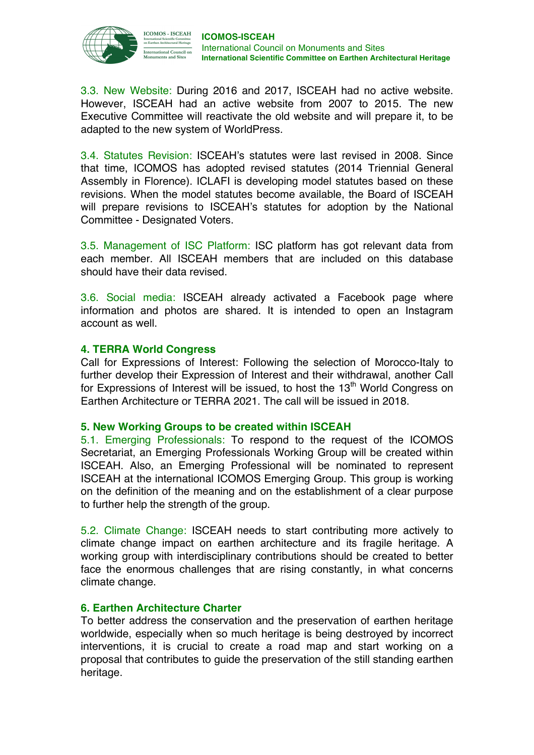

3.3. New Website: During 2016 and 2017, ISCEAH had no active website. However, ISCEAH had an active website from 2007 to 2015. The new Executive Committee will reactivate the old website and will prepare it, to be adapted to the new system of WorldPress.

3.4. Statutes Revision: ISCEAH's statutes were last revised in 2008. Since that time, ICOMOS has adopted revised statutes (2014 Triennial General Assembly in Florence). ICLAFI is developing model statutes based on these revisions. When the model statutes become available, the Board of ISCEAH will prepare revisions to ISCEAH's statutes for adoption by the National Committee - Designated Voters.

3.5. Management of ISC Platform: ISC platform has got relevant data from each member. All ISCEAH members that are included on this database should have their data revised.

3.6. Social media: ISCEAH already activated a Facebook page where information and photos are shared. It is intended to open an Instagram account as well.

# **4. TERRA World Congress**

Call for Expressions of Interest: Following the selection of Morocco-Italy to further develop their Expression of Interest and their withdrawal, another Call for Expressions of Interest will be issued, to host the  $13<sup>th</sup>$  World Congress on Earthen Architecture or TERRA 2021. The call will be issued in 2018.

## **5. New Working Groups to be created within ISCEAH**

5.1. Emerging Professionals: To respond to the request of the ICOMOS Secretariat, an Emerging Professionals Working Group will be created within ISCEAH. Also, an Emerging Professional will be nominated to represent ISCEAH at the international ICOMOS Emerging Group. This group is working on the definition of the meaning and on the establishment of a clear purpose to further help the strength of the group.

5.2. Climate Change: ISCEAH needs to start contributing more actively to climate change impact on earthen architecture and its fragile heritage. A working group with interdisciplinary contributions should be created to better face the enormous challenges that are rising constantly, in what concerns climate change.

# **6. Earthen Architecture Charter**

To better address the conservation and the preservation of earthen heritage worldwide, especially when so much heritage is being destroyed by incorrect interventions, it is crucial to create a road map and start working on a proposal that contributes to guide the preservation of the still standing earthen heritage.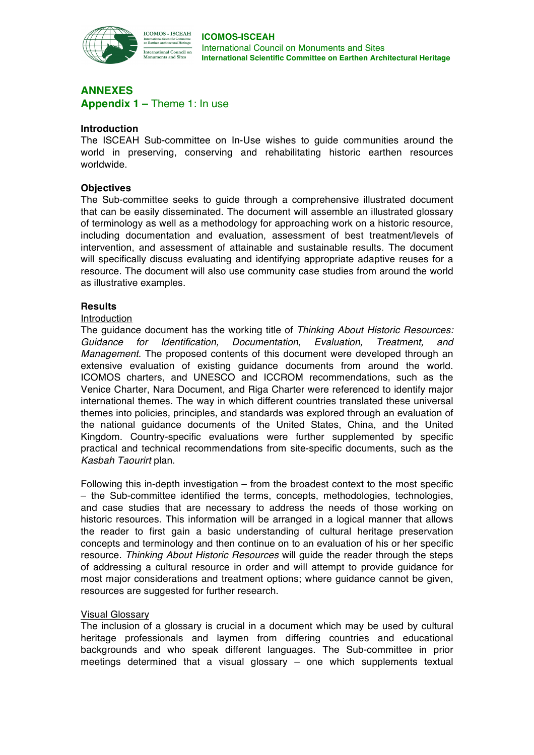

**ICOMOS - ISCEAH** nternational Council o<mark>n</mark><br>Ionuments and Sites

# **ANNEXES Appendix 1 –** Theme 1: In use

## **Introduction**

The ISCEAH Sub-committee on In-Use wishes to guide communities around the world in preserving, conserving and rehabilitating historic earthen resources worldwide.

### **Objectives**

The Sub-committee seeks to guide through a comprehensive illustrated document that can be easily disseminated. The document will assemble an illustrated glossary of terminology as well as a methodology for approaching work on a historic resource, including documentation and evaluation, assessment of best treatment/levels of intervention, and assessment of attainable and sustainable results. The document will specifically discuss evaluating and identifying appropriate adaptive reuses for a resource. The document will also use community case studies from around the world as illustrative examples.

#### **Results**

#### Introduction

The guidance document has the working title of *Thinking About Historic Resources: Guidance for Identification, Documentation, Evaluation, Treatment, and Management.* The proposed contents of this document were developed through an extensive evaluation of existing guidance documents from around the world. ICOMOS charters, and UNESCO and ICCROM recommendations, such as the Venice Charter, Nara Document, and Riga Charter were referenced to identify major international themes. The way in which different countries translated these universal themes into policies, principles, and standards was explored through an evaluation of the national guidance documents of the United States, China, and the United Kingdom. Country-specific evaluations were further supplemented by specific practical and technical recommendations from site-specific documents, such as the *Kasbah Taourirt* plan.

Following this in-depth investigation – from the broadest context to the most specific – the Sub-committee identified the terms, concepts, methodologies, technologies, and case studies that are necessary to address the needs of those working on historic resources. This information will be arranged in a logical manner that allows the reader to first gain a basic understanding of cultural heritage preservation concepts and terminology and then continue on to an evaluation of his or her specific resource. *Thinking About Historic Resources* will guide the reader through the steps of addressing a cultural resource in order and will attempt to provide guidance for most major considerations and treatment options; where guidance cannot be given, resources are suggested for further research.

## Visual Glossary

The inclusion of a glossary is crucial in a document which may be used by cultural heritage professionals and laymen from differing countries and educational backgrounds and who speak different languages. The Sub-committee in prior meetings determined that a visual glossary – one which supplements textual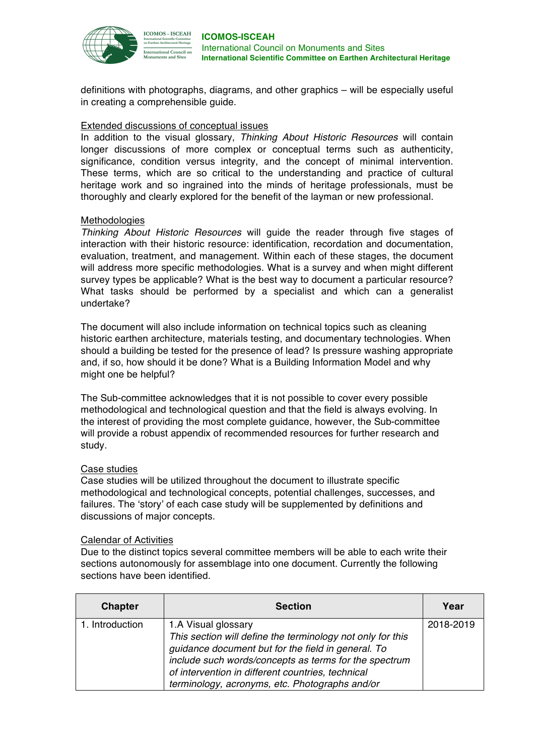

definitions with photographs, diagrams, and other graphics – will be especially useful in creating a comprehensible guide.

### Extended discussions of conceptual issues

In addition to the visual glossary, *Thinking About Historic Resources* will contain longer discussions of more complex or conceptual terms such as authenticity, significance, condition versus integrity, and the concept of minimal intervention. These terms, which are so critical to the understanding and practice of cultural heritage work and so ingrained into the minds of heritage professionals, must be thoroughly and clearly explored for the benefit of the layman or new professional.

#### Methodologies

*Thinking About Historic Resources* will guide the reader through five stages of interaction with their historic resource: identification, recordation and documentation, evaluation, treatment, and management. Within each of these stages, the document will address more specific methodologies. What is a survey and when might different survey types be applicable? What is the best way to document a particular resource? What tasks should be performed by a specialist and which can a generalist undertake?

The document will also include information on technical topics such as cleaning historic earthen architecture, materials testing, and documentary technologies. When should a building be tested for the presence of lead? Is pressure washing appropriate and, if so, how should it be done? What is a Building Information Model and why might one be helpful?

The Sub-committee acknowledges that it is not possible to cover every possible methodological and technological question and that the field is always evolving. In the interest of providing the most complete guidance, however, the Sub-committee will provide a robust appendix of recommended resources for further research and study.

#### Case studies

Case studies will be utilized throughout the document to illustrate specific methodological and technological concepts, potential challenges, successes, and failures. The 'story' of each case study will be supplemented by definitions and discussions of major concepts.

#### Calendar of Activities

Due to the distinct topics several committee members will be able to each write their sections autonomously for assemblage into one document. Currently the following sections have been identified.

| <b>Chapter</b>  | <b>Section</b>                                                                                                                                                                                                                                                                                          | Year      |
|-----------------|---------------------------------------------------------------------------------------------------------------------------------------------------------------------------------------------------------------------------------------------------------------------------------------------------------|-----------|
| 1. Introduction | 1.A Visual glossary<br>This section will define the terminology not only for this<br>guidance document but for the field in general. To<br>include such words/concepts as terms for the spectrum<br>of intervention in different countries, technical<br>terminology, acronyms, etc. Photographs and/or | 2018-2019 |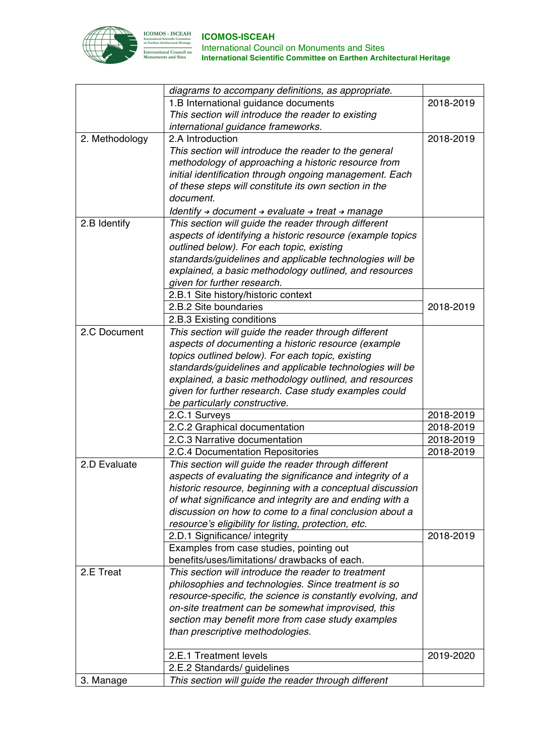

| 1.B International guidance documents<br>2018-2019<br>This section will introduce the reader to existing<br>international guidance frameworks.<br>2.A Introduction<br>2. Methodology<br>2018-2019<br>This section will introduce the reader to the general<br>methodology of approaching a historic resource from<br>initial identification through ongoing management. Each<br>of these steps will constitute its own section in the<br>document.<br>Identify $\rightarrow$ document $\rightarrow$ evaluate $\rightarrow$ treat $\rightarrow$ manage<br>2.B Identify<br>This section will guide the reader through different<br>aspects of identifying a historic resource (example topics<br>outlined below). For each topic, existing<br>standards/guidelines and applicable technologies will be<br>explained, a basic methodology outlined, and resources<br>given for further research.<br>2.B.1 Site history/historic context<br>2.B.2 Site boundaries<br>2018-2019<br>2.B.3 Existing conditions<br>This section will guide the reader through different<br>2.C Document<br>aspects of documenting a historic resource (example<br>topics outlined below). For each topic, existing<br>standards/guidelines and applicable technologies will be<br>explained, a basic methodology outlined, and resources<br>given for further research. Case study examples could<br>be particularly constructive.<br>2.C.1 Surveys<br>2018-2019<br>2.C.2 Graphical documentation<br>2018-2019<br>2.C.3 Narrative documentation<br>2018-2019<br>2018-2019<br>2.C.4 Documentation Repositories<br>This section will guide the reader through different<br>2.D Evaluate<br>aspects of evaluating the significance and integrity of a<br>historic resource, beginning with a conceptual discussion<br>of what significance and integrity are and ending with a<br>discussion on how to come to a final conclusion about a<br>resource's eligibility for listing, protection, etc.<br>2018-2019<br>2.D.1 Significance/ integrity<br>Examples from case studies, pointing out<br>benefits/uses/limitations/ drawbacks of each.<br>This section will introduce the reader to treatment<br>2.E Treat<br>philosophies and technologies. Since treatment is so<br>resource-specific, the science is constantly evolving, and<br>on-site treatment can be somewhat improvised, this<br>section may benefit more from case study examples<br>than prescriptive methodologies.<br>2.E.1 Treatment levels<br>2019-2020<br>2.E.2 Standards/ guidelines<br>This section will guide the reader through different<br>3. Manage | diagrams to accompany definitions, as appropriate. |  |
|------------------------------------------------------------------------------------------------------------------------------------------------------------------------------------------------------------------------------------------------------------------------------------------------------------------------------------------------------------------------------------------------------------------------------------------------------------------------------------------------------------------------------------------------------------------------------------------------------------------------------------------------------------------------------------------------------------------------------------------------------------------------------------------------------------------------------------------------------------------------------------------------------------------------------------------------------------------------------------------------------------------------------------------------------------------------------------------------------------------------------------------------------------------------------------------------------------------------------------------------------------------------------------------------------------------------------------------------------------------------------------------------------------------------------------------------------------------------------------------------------------------------------------------------------------------------------------------------------------------------------------------------------------------------------------------------------------------------------------------------------------------------------------------------------------------------------------------------------------------------------------------------------------------------------------------------------------------------------------------------------------------------------------------------------------------------------------------------------------------------------------------------------------------------------------------------------------------------------------------------------------------------------------------------------------------------------------------------------------------------------------------------------------------------------------------------------------------------------------------------------------------------------------------------------------------------------------------------------|----------------------------------------------------|--|
|                                                                                                                                                                                                                                                                                                                                                                                                                                                                                                                                                                                                                                                                                                                                                                                                                                                                                                                                                                                                                                                                                                                                                                                                                                                                                                                                                                                                                                                                                                                                                                                                                                                                                                                                                                                                                                                                                                                                                                                                                                                                                                                                                                                                                                                                                                                                                                                                                                                                                                                                                                                                      |                                                    |  |
|                                                                                                                                                                                                                                                                                                                                                                                                                                                                                                                                                                                                                                                                                                                                                                                                                                                                                                                                                                                                                                                                                                                                                                                                                                                                                                                                                                                                                                                                                                                                                                                                                                                                                                                                                                                                                                                                                                                                                                                                                                                                                                                                                                                                                                                                                                                                                                                                                                                                                                                                                                                                      |                                                    |  |
|                                                                                                                                                                                                                                                                                                                                                                                                                                                                                                                                                                                                                                                                                                                                                                                                                                                                                                                                                                                                                                                                                                                                                                                                                                                                                                                                                                                                                                                                                                                                                                                                                                                                                                                                                                                                                                                                                                                                                                                                                                                                                                                                                                                                                                                                                                                                                                                                                                                                                                                                                                                                      |                                                    |  |
|                                                                                                                                                                                                                                                                                                                                                                                                                                                                                                                                                                                                                                                                                                                                                                                                                                                                                                                                                                                                                                                                                                                                                                                                                                                                                                                                                                                                                                                                                                                                                                                                                                                                                                                                                                                                                                                                                                                                                                                                                                                                                                                                                                                                                                                                                                                                                                                                                                                                                                                                                                                                      |                                                    |  |
|                                                                                                                                                                                                                                                                                                                                                                                                                                                                                                                                                                                                                                                                                                                                                                                                                                                                                                                                                                                                                                                                                                                                                                                                                                                                                                                                                                                                                                                                                                                                                                                                                                                                                                                                                                                                                                                                                                                                                                                                                                                                                                                                                                                                                                                                                                                                                                                                                                                                                                                                                                                                      |                                                    |  |
|                                                                                                                                                                                                                                                                                                                                                                                                                                                                                                                                                                                                                                                                                                                                                                                                                                                                                                                                                                                                                                                                                                                                                                                                                                                                                                                                                                                                                                                                                                                                                                                                                                                                                                                                                                                                                                                                                                                                                                                                                                                                                                                                                                                                                                                                                                                                                                                                                                                                                                                                                                                                      |                                                    |  |
|                                                                                                                                                                                                                                                                                                                                                                                                                                                                                                                                                                                                                                                                                                                                                                                                                                                                                                                                                                                                                                                                                                                                                                                                                                                                                                                                                                                                                                                                                                                                                                                                                                                                                                                                                                                                                                                                                                                                                                                                                                                                                                                                                                                                                                                                                                                                                                                                                                                                                                                                                                                                      |                                                    |  |
|                                                                                                                                                                                                                                                                                                                                                                                                                                                                                                                                                                                                                                                                                                                                                                                                                                                                                                                                                                                                                                                                                                                                                                                                                                                                                                                                                                                                                                                                                                                                                                                                                                                                                                                                                                                                                                                                                                                                                                                                                                                                                                                                                                                                                                                                                                                                                                                                                                                                                                                                                                                                      |                                                    |  |
|                                                                                                                                                                                                                                                                                                                                                                                                                                                                                                                                                                                                                                                                                                                                                                                                                                                                                                                                                                                                                                                                                                                                                                                                                                                                                                                                                                                                                                                                                                                                                                                                                                                                                                                                                                                                                                                                                                                                                                                                                                                                                                                                                                                                                                                                                                                                                                                                                                                                                                                                                                                                      |                                                    |  |
|                                                                                                                                                                                                                                                                                                                                                                                                                                                                                                                                                                                                                                                                                                                                                                                                                                                                                                                                                                                                                                                                                                                                                                                                                                                                                                                                                                                                                                                                                                                                                                                                                                                                                                                                                                                                                                                                                                                                                                                                                                                                                                                                                                                                                                                                                                                                                                                                                                                                                                                                                                                                      |                                                    |  |
|                                                                                                                                                                                                                                                                                                                                                                                                                                                                                                                                                                                                                                                                                                                                                                                                                                                                                                                                                                                                                                                                                                                                                                                                                                                                                                                                                                                                                                                                                                                                                                                                                                                                                                                                                                                                                                                                                                                                                                                                                                                                                                                                                                                                                                                                                                                                                                                                                                                                                                                                                                                                      |                                                    |  |
|                                                                                                                                                                                                                                                                                                                                                                                                                                                                                                                                                                                                                                                                                                                                                                                                                                                                                                                                                                                                                                                                                                                                                                                                                                                                                                                                                                                                                                                                                                                                                                                                                                                                                                                                                                                                                                                                                                                                                                                                                                                                                                                                                                                                                                                                                                                                                                                                                                                                                                                                                                                                      |                                                    |  |
|                                                                                                                                                                                                                                                                                                                                                                                                                                                                                                                                                                                                                                                                                                                                                                                                                                                                                                                                                                                                                                                                                                                                                                                                                                                                                                                                                                                                                                                                                                                                                                                                                                                                                                                                                                                                                                                                                                                                                                                                                                                                                                                                                                                                                                                                                                                                                                                                                                                                                                                                                                                                      |                                                    |  |
|                                                                                                                                                                                                                                                                                                                                                                                                                                                                                                                                                                                                                                                                                                                                                                                                                                                                                                                                                                                                                                                                                                                                                                                                                                                                                                                                                                                                                                                                                                                                                                                                                                                                                                                                                                                                                                                                                                                                                                                                                                                                                                                                                                                                                                                                                                                                                                                                                                                                                                                                                                                                      |                                                    |  |
|                                                                                                                                                                                                                                                                                                                                                                                                                                                                                                                                                                                                                                                                                                                                                                                                                                                                                                                                                                                                                                                                                                                                                                                                                                                                                                                                                                                                                                                                                                                                                                                                                                                                                                                                                                                                                                                                                                                                                                                                                                                                                                                                                                                                                                                                                                                                                                                                                                                                                                                                                                                                      |                                                    |  |
|                                                                                                                                                                                                                                                                                                                                                                                                                                                                                                                                                                                                                                                                                                                                                                                                                                                                                                                                                                                                                                                                                                                                                                                                                                                                                                                                                                                                                                                                                                                                                                                                                                                                                                                                                                                                                                                                                                                                                                                                                                                                                                                                                                                                                                                                                                                                                                                                                                                                                                                                                                                                      |                                                    |  |
|                                                                                                                                                                                                                                                                                                                                                                                                                                                                                                                                                                                                                                                                                                                                                                                                                                                                                                                                                                                                                                                                                                                                                                                                                                                                                                                                                                                                                                                                                                                                                                                                                                                                                                                                                                                                                                                                                                                                                                                                                                                                                                                                                                                                                                                                                                                                                                                                                                                                                                                                                                                                      |                                                    |  |
|                                                                                                                                                                                                                                                                                                                                                                                                                                                                                                                                                                                                                                                                                                                                                                                                                                                                                                                                                                                                                                                                                                                                                                                                                                                                                                                                                                                                                                                                                                                                                                                                                                                                                                                                                                                                                                                                                                                                                                                                                                                                                                                                                                                                                                                                                                                                                                                                                                                                                                                                                                                                      |                                                    |  |
|                                                                                                                                                                                                                                                                                                                                                                                                                                                                                                                                                                                                                                                                                                                                                                                                                                                                                                                                                                                                                                                                                                                                                                                                                                                                                                                                                                                                                                                                                                                                                                                                                                                                                                                                                                                                                                                                                                                                                                                                                                                                                                                                                                                                                                                                                                                                                                                                                                                                                                                                                                                                      |                                                    |  |
|                                                                                                                                                                                                                                                                                                                                                                                                                                                                                                                                                                                                                                                                                                                                                                                                                                                                                                                                                                                                                                                                                                                                                                                                                                                                                                                                                                                                                                                                                                                                                                                                                                                                                                                                                                                                                                                                                                                                                                                                                                                                                                                                                                                                                                                                                                                                                                                                                                                                                                                                                                                                      |                                                    |  |
|                                                                                                                                                                                                                                                                                                                                                                                                                                                                                                                                                                                                                                                                                                                                                                                                                                                                                                                                                                                                                                                                                                                                                                                                                                                                                                                                                                                                                                                                                                                                                                                                                                                                                                                                                                                                                                                                                                                                                                                                                                                                                                                                                                                                                                                                                                                                                                                                                                                                                                                                                                                                      |                                                    |  |
|                                                                                                                                                                                                                                                                                                                                                                                                                                                                                                                                                                                                                                                                                                                                                                                                                                                                                                                                                                                                                                                                                                                                                                                                                                                                                                                                                                                                                                                                                                                                                                                                                                                                                                                                                                                                                                                                                                                                                                                                                                                                                                                                                                                                                                                                                                                                                                                                                                                                                                                                                                                                      |                                                    |  |
|                                                                                                                                                                                                                                                                                                                                                                                                                                                                                                                                                                                                                                                                                                                                                                                                                                                                                                                                                                                                                                                                                                                                                                                                                                                                                                                                                                                                                                                                                                                                                                                                                                                                                                                                                                                                                                                                                                                                                                                                                                                                                                                                                                                                                                                                                                                                                                                                                                                                                                                                                                                                      |                                                    |  |
|                                                                                                                                                                                                                                                                                                                                                                                                                                                                                                                                                                                                                                                                                                                                                                                                                                                                                                                                                                                                                                                                                                                                                                                                                                                                                                                                                                                                                                                                                                                                                                                                                                                                                                                                                                                                                                                                                                                                                                                                                                                                                                                                                                                                                                                                                                                                                                                                                                                                                                                                                                                                      |                                                    |  |
|                                                                                                                                                                                                                                                                                                                                                                                                                                                                                                                                                                                                                                                                                                                                                                                                                                                                                                                                                                                                                                                                                                                                                                                                                                                                                                                                                                                                                                                                                                                                                                                                                                                                                                                                                                                                                                                                                                                                                                                                                                                                                                                                                                                                                                                                                                                                                                                                                                                                                                                                                                                                      |                                                    |  |
|                                                                                                                                                                                                                                                                                                                                                                                                                                                                                                                                                                                                                                                                                                                                                                                                                                                                                                                                                                                                                                                                                                                                                                                                                                                                                                                                                                                                                                                                                                                                                                                                                                                                                                                                                                                                                                                                                                                                                                                                                                                                                                                                                                                                                                                                                                                                                                                                                                                                                                                                                                                                      |                                                    |  |
|                                                                                                                                                                                                                                                                                                                                                                                                                                                                                                                                                                                                                                                                                                                                                                                                                                                                                                                                                                                                                                                                                                                                                                                                                                                                                                                                                                                                                                                                                                                                                                                                                                                                                                                                                                                                                                                                                                                                                                                                                                                                                                                                                                                                                                                                                                                                                                                                                                                                                                                                                                                                      |                                                    |  |
|                                                                                                                                                                                                                                                                                                                                                                                                                                                                                                                                                                                                                                                                                                                                                                                                                                                                                                                                                                                                                                                                                                                                                                                                                                                                                                                                                                                                                                                                                                                                                                                                                                                                                                                                                                                                                                                                                                                                                                                                                                                                                                                                                                                                                                                                                                                                                                                                                                                                                                                                                                                                      |                                                    |  |
|                                                                                                                                                                                                                                                                                                                                                                                                                                                                                                                                                                                                                                                                                                                                                                                                                                                                                                                                                                                                                                                                                                                                                                                                                                                                                                                                                                                                                                                                                                                                                                                                                                                                                                                                                                                                                                                                                                                                                                                                                                                                                                                                                                                                                                                                                                                                                                                                                                                                                                                                                                                                      |                                                    |  |
|                                                                                                                                                                                                                                                                                                                                                                                                                                                                                                                                                                                                                                                                                                                                                                                                                                                                                                                                                                                                                                                                                                                                                                                                                                                                                                                                                                                                                                                                                                                                                                                                                                                                                                                                                                                                                                                                                                                                                                                                                                                                                                                                                                                                                                                                                                                                                                                                                                                                                                                                                                                                      |                                                    |  |
|                                                                                                                                                                                                                                                                                                                                                                                                                                                                                                                                                                                                                                                                                                                                                                                                                                                                                                                                                                                                                                                                                                                                                                                                                                                                                                                                                                                                                                                                                                                                                                                                                                                                                                                                                                                                                                                                                                                                                                                                                                                                                                                                                                                                                                                                                                                                                                                                                                                                                                                                                                                                      |                                                    |  |
|                                                                                                                                                                                                                                                                                                                                                                                                                                                                                                                                                                                                                                                                                                                                                                                                                                                                                                                                                                                                                                                                                                                                                                                                                                                                                                                                                                                                                                                                                                                                                                                                                                                                                                                                                                                                                                                                                                                                                                                                                                                                                                                                                                                                                                                                                                                                                                                                                                                                                                                                                                                                      |                                                    |  |
|                                                                                                                                                                                                                                                                                                                                                                                                                                                                                                                                                                                                                                                                                                                                                                                                                                                                                                                                                                                                                                                                                                                                                                                                                                                                                                                                                                                                                                                                                                                                                                                                                                                                                                                                                                                                                                                                                                                                                                                                                                                                                                                                                                                                                                                                                                                                                                                                                                                                                                                                                                                                      |                                                    |  |
|                                                                                                                                                                                                                                                                                                                                                                                                                                                                                                                                                                                                                                                                                                                                                                                                                                                                                                                                                                                                                                                                                                                                                                                                                                                                                                                                                                                                                                                                                                                                                                                                                                                                                                                                                                                                                                                                                                                                                                                                                                                                                                                                                                                                                                                                                                                                                                                                                                                                                                                                                                                                      |                                                    |  |
|                                                                                                                                                                                                                                                                                                                                                                                                                                                                                                                                                                                                                                                                                                                                                                                                                                                                                                                                                                                                                                                                                                                                                                                                                                                                                                                                                                                                                                                                                                                                                                                                                                                                                                                                                                                                                                                                                                                                                                                                                                                                                                                                                                                                                                                                                                                                                                                                                                                                                                                                                                                                      |                                                    |  |
|                                                                                                                                                                                                                                                                                                                                                                                                                                                                                                                                                                                                                                                                                                                                                                                                                                                                                                                                                                                                                                                                                                                                                                                                                                                                                                                                                                                                                                                                                                                                                                                                                                                                                                                                                                                                                                                                                                                                                                                                                                                                                                                                                                                                                                                                                                                                                                                                                                                                                                                                                                                                      |                                                    |  |
|                                                                                                                                                                                                                                                                                                                                                                                                                                                                                                                                                                                                                                                                                                                                                                                                                                                                                                                                                                                                                                                                                                                                                                                                                                                                                                                                                                                                                                                                                                                                                                                                                                                                                                                                                                                                                                                                                                                                                                                                                                                                                                                                                                                                                                                                                                                                                                                                                                                                                                                                                                                                      |                                                    |  |
|                                                                                                                                                                                                                                                                                                                                                                                                                                                                                                                                                                                                                                                                                                                                                                                                                                                                                                                                                                                                                                                                                                                                                                                                                                                                                                                                                                                                                                                                                                                                                                                                                                                                                                                                                                                                                                                                                                                                                                                                                                                                                                                                                                                                                                                                                                                                                                                                                                                                                                                                                                                                      |                                                    |  |
|                                                                                                                                                                                                                                                                                                                                                                                                                                                                                                                                                                                                                                                                                                                                                                                                                                                                                                                                                                                                                                                                                                                                                                                                                                                                                                                                                                                                                                                                                                                                                                                                                                                                                                                                                                                                                                                                                                                                                                                                                                                                                                                                                                                                                                                                                                                                                                                                                                                                                                                                                                                                      |                                                    |  |
|                                                                                                                                                                                                                                                                                                                                                                                                                                                                                                                                                                                                                                                                                                                                                                                                                                                                                                                                                                                                                                                                                                                                                                                                                                                                                                                                                                                                                                                                                                                                                                                                                                                                                                                                                                                                                                                                                                                                                                                                                                                                                                                                                                                                                                                                                                                                                                                                                                                                                                                                                                                                      |                                                    |  |
|                                                                                                                                                                                                                                                                                                                                                                                                                                                                                                                                                                                                                                                                                                                                                                                                                                                                                                                                                                                                                                                                                                                                                                                                                                                                                                                                                                                                                                                                                                                                                                                                                                                                                                                                                                                                                                                                                                                                                                                                                                                                                                                                                                                                                                                                                                                                                                                                                                                                                                                                                                                                      |                                                    |  |
|                                                                                                                                                                                                                                                                                                                                                                                                                                                                                                                                                                                                                                                                                                                                                                                                                                                                                                                                                                                                                                                                                                                                                                                                                                                                                                                                                                                                                                                                                                                                                                                                                                                                                                                                                                                                                                                                                                                                                                                                                                                                                                                                                                                                                                                                                                                                                                                                                                                                                                                                                                                                      |                                                    |  |
|                                                                                                                                                                                                                                                                                                                                                                                                                                                                                                                                                                                                                                                                                                                                                                                                                                                                                                                                                                                                                                                                                                                                                                                                                                                                                                                                                                                                                                                                                                                                                                                                                                                                                                                                                                                                                                                                                                                                                                                                                                                                                                                                                                                                                                                                                                                                                                                                                                                                                                                                                                                                      |                                                    |  |
|                                                                                                                                                                                                                                                                                                                                                                                                                                                                                                                                                                                                                                                                                                                                                                                                                                                                                                                                                                                                                                                                                                                                                                                                                                                                                                                                                                                                                                                                                                                                                                                                                                                                                                                                                                                                                                                                                                                                                                                                                                                                                                                                                                                                                                                                                                                                                                                                                                                                                                                                                                                                      |                                                    |  |
|                                                                                                                                                                                                                                                                                                                                                                                                                                                                                                                                                                                                                                                                                                                                                                                                                                                                                                                                                                                                                                                                                                                                                                                                                                                                                                                                                                                                                                                                                                                                                                                                                                                                                                                                                                                                                                                                                                                                                                                                                                                                                                                                                                                                                                                                                                                                                                                                                                                                                                                                                                                                      |                                                    |  |
|                                                                                                                                                                                                                                                                                                                                                                                                                                                                                                                                                                                                                                                                                                                                                                                                                                                                                                                                                                                                                                                                                                                                                                                                                                                                                                                                                                                                                                                                                                                                                                                                                                                                                                                                                                                                                                                                                                                                                                                                                                                                                                                                                                                                                                                                                                                                                                                                                                                                                                                                                                                                      |                                                    |  |
|                                                                                                                                                                                                                                                                                                                                                                                                                                                                                                                                                                                                                                                                                                                                                                                                                                                                                                                                                                                                                                                                                                                                                                                                                                                                                                                                                                                                                                                                                                                                                                                                                                                                                                                                                                                                                                                                                                                                                                                                                                                                                                                                                                                                                                                                                                                                                                                                                                                                                                                                                                                                      |                                                    |  |
|                                                                                                                                                                                                                                                                                                                                                                                                                                                                                                                                                                                                                                                                                                                                                                                                                                                                                                                                                                                                                                                                                                                                                                                                                                                                                                                                                                                                                                                                                                                                                                                                                                                                                                                                                                                                                                                                                                                                                                                                                                                                                                                                                                                                                                                                                                                                                                                                                                                                                                                                                                                                      |                                                    |  |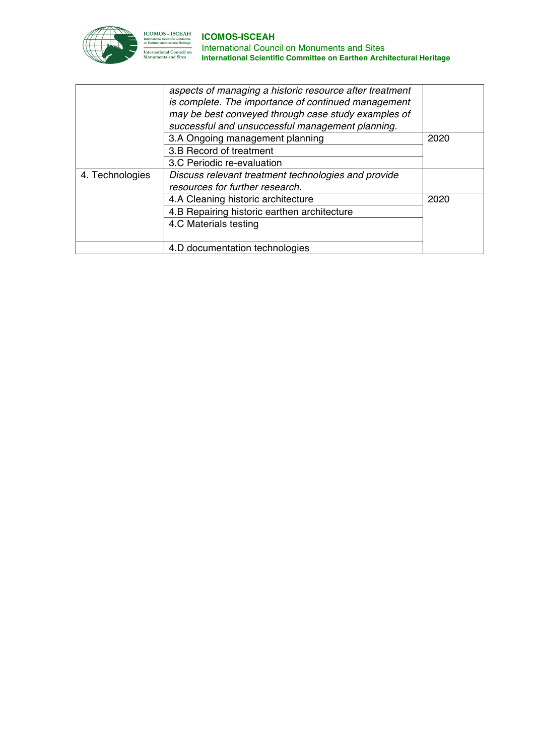

|                 | aspects of managing a historic resource after treatment<br>is complete. The importance of continued management<br>may be best conveyed through case study examples of<br>successful and unsuccessful management planning. |      |  |
|-----------------|---------------------------------------------------------------------------------------------------------------------------------------------------------------------------------------------------------------------------|------|--|
|                 | 3.A Ongoing management planning                                                                                                                                                                                           | 2020 |  |
|                 | 3.B Record of treatment                                                                                                                                                                                                   |      |  |
|                 | 3.C Periodic re-evaluation                                                                                                                                                                                                |      |  |
| 4. Technologies | Discuss relevant treatment technologies and provide                                                                                                                                                                       |      |  |
|                 | resources for further research.                                                                                                                                                                                           |      |  |
|                 | 4.A Cleaning historic architecture                                                                                                                                                                                        | 2020 |  |
|                 | 4.B Repairing historic earthen architecture                                                                                                                                                                               |      |  |
|                 | 4.C Materials testing                                                                                                                                                                                                     |      |  |
|                 | 4.D documentation technologies                                                                                                                                                                                            |      |  |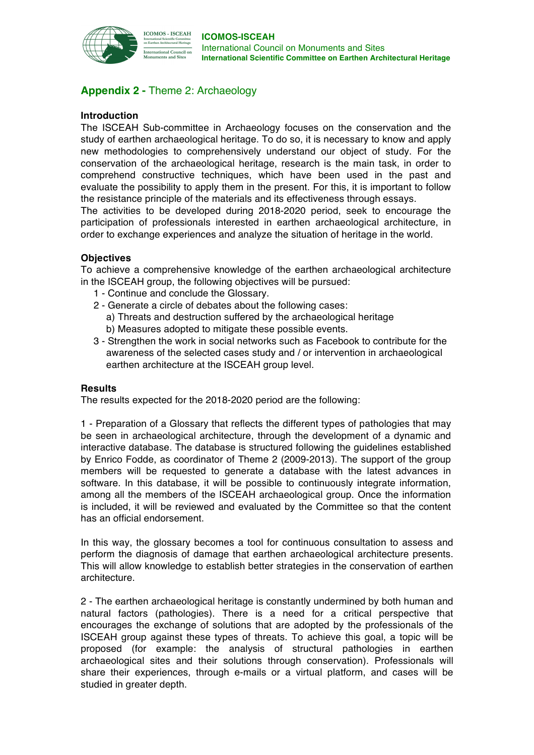

# **Appendix 2 -** Theme 2: Archaeology

## **Introduction**

The ISCEAH Sub-committee in Archaeology focuses on the conservation and the study of earthen archaeological heritage. To do so, it is necessary to know and apply new methodologies to comprehensively understand our object of study. For the conservation of the archaeological heritage, research is the main task, in order to comprehend constructive techniques, which have been used in the past and evaluate the possibility to apply them in the present. For this, it is important to follow the resistance principle of the materials and its effectiveness through essays.

The activities to be developed during 2018-2020 period, seek to encourage the participation of professionals interested in earthen archaeological architecture, in order to exchange experiences and analyze the situation of heritage in the world.

## **Objectives**

To achieve a comprehensive knowledge of the earthen archaeological architecture in the ISCEAH group, the following objectives will be pursued:

- 1 Continue and conclude the Glossary.
- 2 Generate a circle of debates about the following cases:
	- a) Threats and destruction suffered by the archaeological heritage b) Measures adopted to mitigate these possible events.
- 3 Strengthen the work in social networks such as Facebook to contribute for the awareness of the selected cases study and / or intervention in archaeological earthen architecture at the ISCEAH group level.

#### **Results**

The results expected for the 2018-2020 period are the following:

1 - Preparation of a Glossary that reflects the different types of pathologies that may be seen in archaeological architecture, through the development of a dynamic and interactive database. The database is structured following the guidelines established by Enrico Fodde, as coordinator of Theme 2 (2009-2013). The support of the group members will be requested to generate a database with the latest advances in software. In this database, it will be possible to continuously integrate information, among all the members of the ISCEAH archaeological group. Once the information is included, it will be reviewed and evaluated by the Committee so that the content has an official endorsement.

In this way, the glossary becomes a tool for continuous consultation to assess and perform the diagnosis of damage that earthen archaeological architecture presents. This will allow knowledge to establish better strategies in the conservation of earthen architecture.

2 - The earthen archaeological heritage is constantly undermined by both human and natural factors (pathologies). There is a need for a critical perspective that encourages the exchange of solutions that are adopted by the professionals of the ISCEAH group against these types of threats. To achieve this goal, a topic will be proposed (for example: the analysis of structural pathologies in earthen archaeological sites and their solutions through conservation). Professionals will share their experiences, through e-mails or a virtual platform, and cases will be studied in greater depth.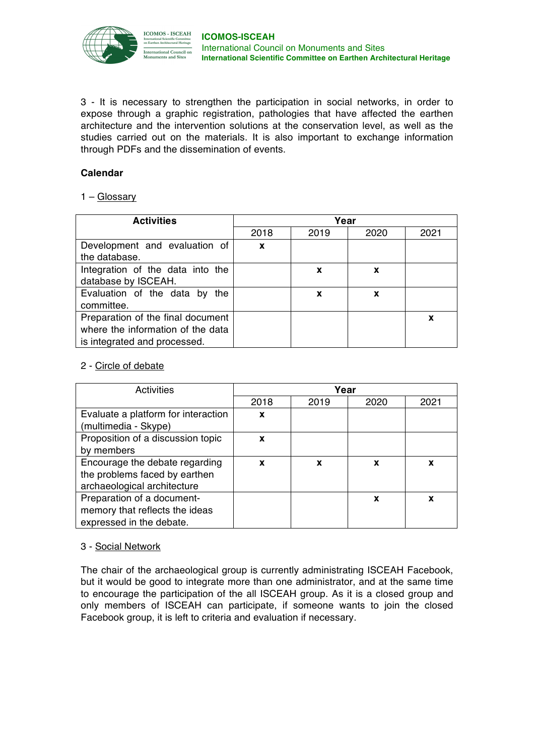

3 - It is necessary to strengthen the participation in social networks, in order to expose through a graphic registration, pathologies that have affected the earthen architecture and the intervention solutions at the conservation level, as well as the studies carried out on the materials. It is also important to exchange information through PDFs and the dissemination of events.

## **Calendar**

## 1 – Glossary

| <b>Activities</b>                                                                                      | Year |      |      |      |
|--------------------------------------------------------------------------------------------------------|------|------|------|------|
|                                                                                                        | 2018 | 2019 | 2020 | 2021 |
| Development and evaluation of<br>the database.                                                         | X    |      |      |      |
| Integration of the data into the<br>database by ISCEAH.                                                |      | x    | X    |      |
| Evaluation of the data by the<br>committee.                                                            |      | X    | X    |      |
| Preparation of the final document<br>where the information of the data<br>is integrated and processed. |      |      |      | X    |

## 2 - Circle of debate

| Activities                                                  | Year |      |      |      |
|-------------------------------------------------------------|------|------|------|------|
|                                                             | 2018 | 2019 | 2020 | 2021 |
| Evaluate a platform for interaction<br>(multimedia - Skype) | x    |      |      |      |
| Proposition of a discussion topic                           | X    |      |      |      |
| by members                                                  |      |      |      |      |
| Encourage the debate regarding                              | X    | X    | X    | x    |
| the problems faced by earthen                               |      |      |      |      |
| archaeological architecture                                 |      |      |      |      |
| Preparation of a document-                                  |      |      | X    | X    |
| memory that reflects the ideas                              |      |      |      |      |
| expressed in the debate.                                    |      |      |      |      |

#### 3 - Social Network

The chair of the archaeological group is currently administrating ISCEAH Facebook, but it would be good to integrate more than one administrator, and at the same time to encourage the participation of the all ISCEAH group. As it is a closed group and only members of ISCEAH can participate, if someone wants to join the closed Facebook group, it is left to criteria and evaluation if necessary.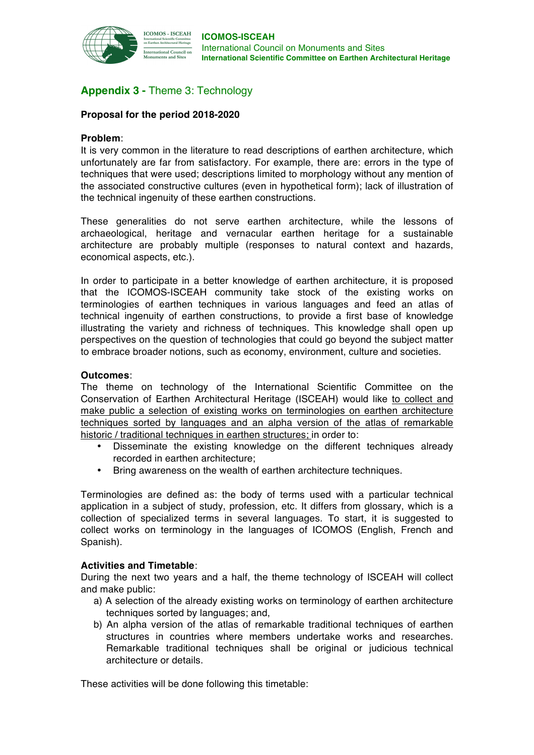

# **Appendix 3 -** Theme 3: Technology

## **Proposal for the period 2018-2020**

#### **Problem**:

It is very common in the literature to read descriptions of earthen architecture, which unfortunately are far from satisfactory. For example, there are: errors in the type of techniques that were used; descriptions limited to morphology without any mention of the associated constructive cultures (even in hypothetical form); lack of illustration of the technical ingenuity of these earthen constructions.

These generalities do not serve earthen architecture, while the lessons of archaeological, heritage and vernacular earthen heritage for a sustainable architecture are probably multiple (responses to natural context and hazards, economical aspects, etc.).

In order to participate in a better knowledge of earthen architecture, it is proposed that the ICOMOS-ISCEAH community take stock of the existing works on terminologies of earthen techniques in various languages and feed an atlas of technical ingenuity of earthen constructions, to provide a first base of knowledge illustrating the variety and richness of techniques. This knowledge shall open up perspectives on the question of technologies that could go beyond the subject matter to embrace broader notions, such as economy, environment, culture and societies.

### **Outcomes**:

The theme on technology of the International Scientific Committee on the Conservation of Earthen Architectural Heritage (ISCEAH) would like to collect and make public a selection of existing works on terminologies on earthen architecture techniques sorted by languages and an alpha version of the atlas of remarkable historic / traditional techniques in earthen structures; in order to:

- Disseminate the existing knowledge on the different techniques already recorded in earthen architecture;
- Bring awareness on the wealth of earthen architecture techniques.

Terminologies are defined as: the body of terms used with a particular technical application in a subject of study, profession, etc. It differs from glossary, which is a collection of specialized terms in several languages. To start, it is suggested to collect works on terminology in the languages of ICOMOS (English, French and Spanish).

#### **Activities and Timetable**:

During the next two years and a half, the theme technology of ISCEAH will collect and make public:

- a) A selection of the already existing works on terminology of earthen architecture techniques sorted by languages; and,
- b) An alpha version of the atlas of remarkable traditional techniques of earthen structures in countries where members undertake works and researches. Remarkable traditional techniques shall be original or judicious technical architecture or details.

These activities will be done following this timetable: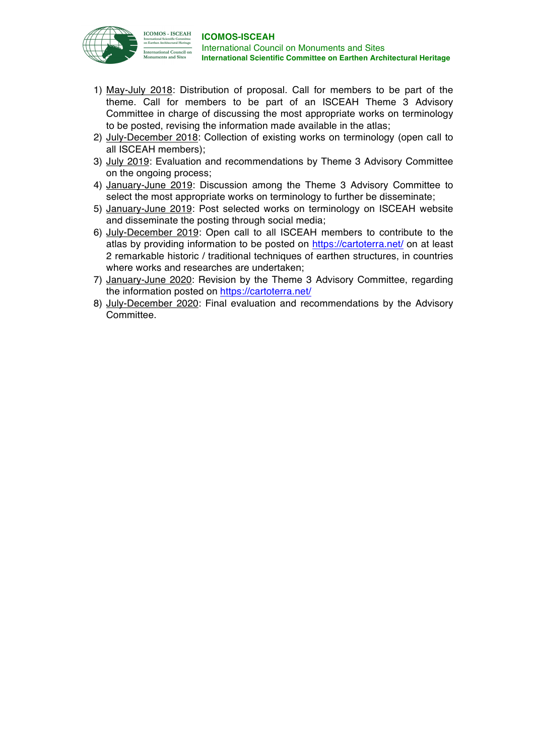

- 1) May-July 2018: Distribution of proposal. Call for members to be part of the theme. Call for members to be part of an ISCEAH Theme 3 Advisory Committee in charge of discussing the most appropriate works on terminology to be posted, revising the information made available in the atlas;
- 2) July-December 2018: Collection of existing works on terminology (open call to all ISCEAH members);
- 3) July 2019: Evaluation and recommendations by Theme 3 Advisory Committee on the ongoing process;
- 4) January-June 2019: Discussion among the Theme 3 Advisory Committee to select the most appropriate works on terminology to further be disseminate;
- 5) January-June 2019: Post selected works on terminology on ISCEAH website and disseminate the posting through social media;
- 6) July-December 2019: Open call to all ISCEAH members to contribute to the atlas by providing information to be posted on https://cartoterra.net/ on at least 2 remarkable historic / traditional techniques of earthen structures, in countries where works and researches are undertaken;
- 7) January-June 2020: Revision by the Theme 3 Advisory Committee, regarding the information posted on https://cartoterra.net/
- 8) July-December 2020: Final evaluation and recommendations by the Advisory Committee.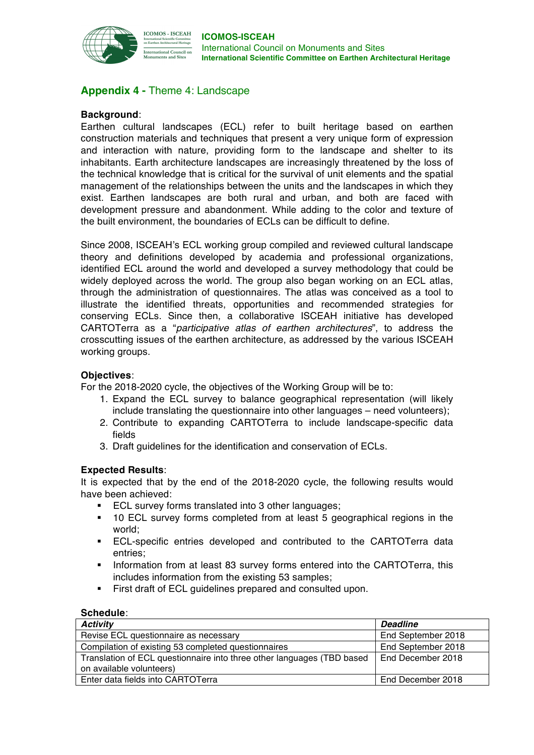

# **Appendix 4 -** Theme 4: Landscape

## **Background**:

Earthen cultural landscapes (ECL) refer to built heritage based on earthen construction materials and techniques that present a very unique form of expression and interaction with nature, providing form to the landscape and shelter to its inhabitants. Earth architecture landscapes are increasingly threatened by the loss of the technical knowledge that is critical for the survival of unit elements and the spatial management of the relationships between the units and the landscapes in which they exist. Earthen landscapes are both rural and urban, and both are faced with development pressure and abandonment. While adding to the color and texture of the built environment, the boundaries of ECLs can be difficult to define.

Since 2008, ISCEAH's ECL working group compiled and reviewed cultural landscape theory and definitions developed by academia and professional organizations, identified ECL around the world and developed a survey methodology that could be widely deployed across the world. The group also began working on an ECL atlas, through the administration of questionnaires. The atlas was conceived as a tool to illustrate the identified threats, opportunities and recommended strategies for conserving ECLs. Since then, a collaborative ISCEAH initiative has developed CARTOTerra as a "*participative atlas of earthen architectures*", to address the crosscutting issues of the earthen architecture, as addressed by the various ISCEAH working groups.

### **Objectives**:

For the 2018-2020 cycle, the objectives of the Working Group will be to:

- 1. Expand the ECL survey to balance geographical representation (will likely include translating the questionnaire into other languages – need volunteers);
- 2. Contribute to expanding CARTOTerra to include landscape-specific data fields
- 3. Draft guidelines for the identification and conservation of ECLs.

#### **Expected Results**:

It is expected that by the end of the 2018-2020 cycle, the following results would have been achieved:

- ECL survey forms translated into 3 other languages:
- § 10 ECL survey forms completed from at least 5 geographical regions in the world;
- ECL-specific entries developed and contributed to the CARTOTerra data entries;
- **•** Information from at least 83 survey forms entered into the CARTOTerra, this includes information from the existing 53 samples;
- First draft of ECL quidelines prepared and consulted upon.

#### **Schedule**:

| <b>Activity</b>                                                        | <b>Deadline</b>    |
|------------------------------------------------------------------------|--------------------|
| Revise ECL questionnaire as necessary                                  | End September 2018 |
| Compilation of existing 53 completed questionnaires                    | End September 2018 |
| Translation of ECL questionnaire into three other languages (TBD based | End December 2018  |
| on available volunteers)                                               |                    |
| Enter data fields into CARTOTerra                                      | End December 2018  |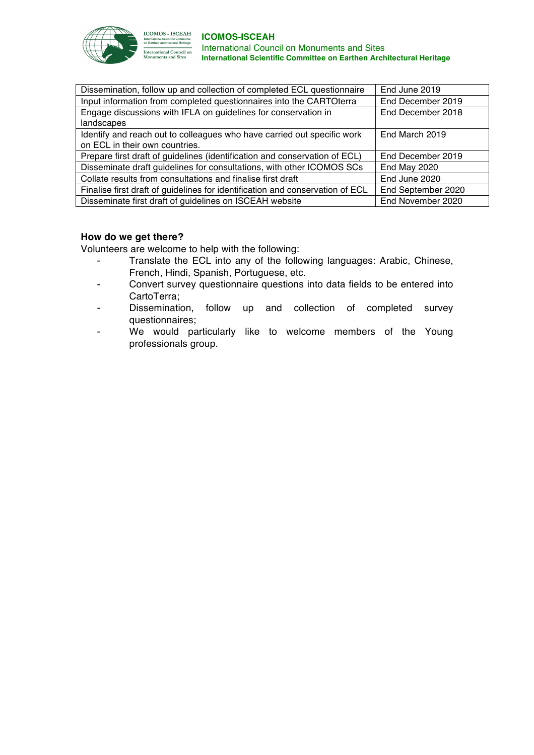

**ICOMOS - ISCEAH** INCORPO - TOULANTE<br>International Scientific Committee<br>on Earthen Architectural Heritage nternational Council on<br>Monuments and Sites

#### **ICOMOS-ISCEAH** International Council on Monuments and Sites **International Scientific Committee on Earthen Architectural Heritage**

| Dissemination, follow up and collection of completed ECL questionnaire        | End June 2019      |
|-------------------------------------------------------------------------------|--------------------|
| Input information from completed questionnaires into the CARTOterra           | End December 2019  |
| Engage discussions with IFLA on guidelines for conservation in                | End December 2018  |
| landscapes                                                                    |                    |
| Identify and reach out to colleagues who have carried out specific work       | End March 2019     |
| on ECL in their own countries.                                                |                    |
| Prepare first draft of guidelines (identification and conservation of ECL)    | End December 2019  |
| Disseminate draft guidelines for consultations, with other ICOMOS SCs         | End May 2020       |
| Collate results from consultations and finalise first draft                   | End June 2020      |
| Finalise first draft of guidelines for identification and conservation of ECL | End September 2020 |
| Disseminate first draft of guidelines on ISCEAH website                       | End November 2020  |
|                                                                               |                    |

## **How do we get there?**

Volunteers are welcome to help with the following:

- Translate the ECL into any of the following languages: Arabic, Chinese, French, Hindi, Spanish, Portuguese, etc.
- Convert survey questionnaire questions into data fields to be entered into CartoTerra;
- Dissemination, follow up and collection of completed survey questionnaires;
- We would particularly like to welcome members of the Young professionals group.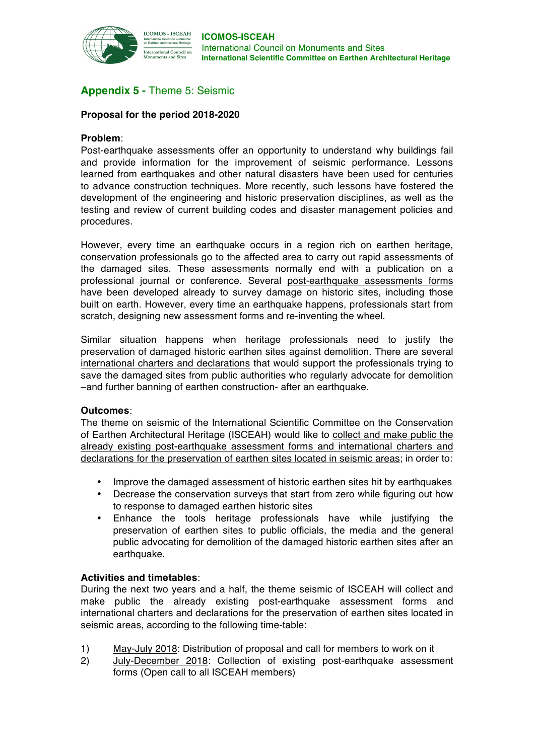

# **Appendix 5 -** Theme 5: Seismic

## **Proposal for the period 2018-2020**

#### **Problem**:

Post-earthquake assessments offer an opportunity to understand why buildings fail and provide information for the improvement of seismic performance. Lessons learned from earthquakes and other natural disasters have been used for centuries to advance construction techniques. More recently, such lessons have fostered the development of the engineering and historic preservation disciplines, as well as the testing and review of current building codes and disaster management policies and procedures.

However, every time an earthquake occurs in a region rich on earthen heritage, conservation professionals go to the affected area to carry out rapid assessments of the damaged sites. These assessments normally end with a publication on a professional journal or conference. Several post-earthquake assessments forms have been developed already to survey damage on historic sites, including those built on earth. However, every time an earthquake happens, professionals start from scratch, designing new assessment forms and re-inventing the wheel.

Similar situation happens when heritage professionals need to justify the preservation of damaged historic earthen sites against demolition. There are several international charters and declarations that would support the professionals trying to save the damaged sites from public authorities who regularly advocate for demolition –and further banning of earthen construction- after an earthquake.

#### **Outcomes**:

The theme on seismic of the International Scientific Committee on the Conservation of Earthen Architectural Heritage (ISCEAH) would like to collect and make public the already existing post-earthquake assessment forms and international charters and declarations for the preservation of earthen sites located in seismic areas; in order to:

- Improve the damaged assessment of historic earthen sites hit by earthquakes
- Decrease the conservation surveys that start from zero while figuring out how to response to damaged earthen historic sites
- Enhance the tools heritage professionals have while justifying the preservation of earthen sites to public officials, the media and the general public advocating for demolition of the damaged historic earthen sites after an earthquake.

#### **Activities and timetables**:

During the next two years and a half, the theme seismic of ISCEAH will collect and make public the already existing post-earthquake assessment forms and international charters and declarations for the preservation of earthen sites located in seismic areas, according to the following time-table:

- 1) May-July 2018: Distribution of proposal and call for members to work on it
- 2) July-December 2018: Collection of existing post-earthquake assessment forms (Open call to all ISCEAH members)